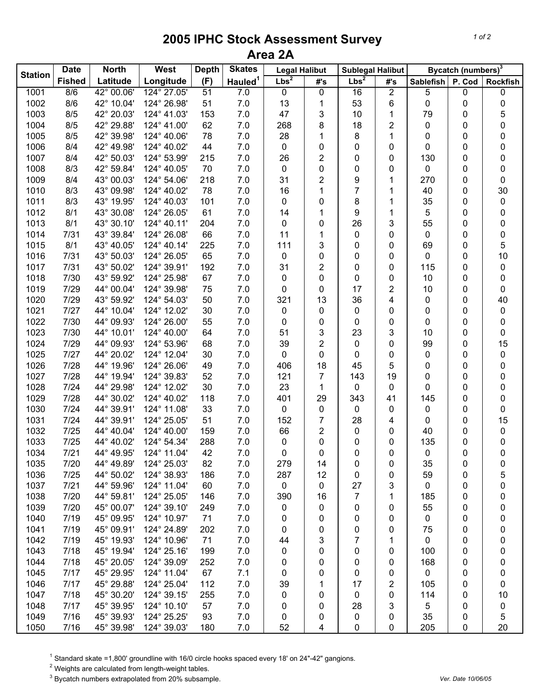## **2005 IPHC Stock Assessment Survey Area 2A**

| Lbs <sup>2</sup><br>Lbs <sup>2</sup><br>Hauled <sup>1</sup><br><b>Fished</b><br>Latitude<br>Longitude<br>(F)<br>#'s<br>P. Cod<br>#'s<br><b>Sablefish</b><br><b>Rockfish</b><br>1001<br>42° 00.06'<br>124° 27.05'<br>51<br>0<br>$\overline{2}$<br>8/6<br>7.0<br>0<br>16<br>5<br>0<br>0<br>1002<br>8/6<br>42° 10.04'<br>124° 26.98'<br>51<br>7.0<br>13<br>53<br>6<br>0<br>0<br>1<br>0<br>1003<br>8/5<br>42° 20.03'<br>124° 41.03'<br>153<br>7.0<br>47<br>3<br>10<br>5<br>1<br>79<br>0<br>62<br>$\overline{2}$<br>8/5<br>42° 29.88'<br>124° 41.00'<br>7.0<br>268<br>8<br>18<br>0<br>1004<br>0<br>0<br>78<br>8/5<br>42° 39.98'<br>124° 40.06'<br>7.0<br>28<br>8<br>1<br>1005<br>1<br>0<br>0<br>0<br>8/4<br>42° 49.98'<br>124° 40.02'<br>44<br>7.0<br>0<br>1006<br>0<br>0<br>0<br>0<br>0<br>0<br>2<br>1007<br>8/4<br>42° 50.03'<br>124° 53.99'<br>215<br>7.0<br>26<br>0<br>0<br>130<br>0<br>0<br>8/3<br>42° 59.84'<br>124° 40.05'<br>70<br>7.0<br>$\pmb{0}$<br>0<br>1008<br>0<br>0<br>0<br>0<br>0<br>2<br>8/4<br>43° 00.03'<br>218<br>7.0<br>31<br>9<br>1009<br>124° 54.06'<br>1<br>270<br>0<br>0<br>$\overline{7}$<br>8/3<br>43° 09.98'<br>124° 40.02'<br>78<br>7.0<br>16<br>1<br>30<br>1010<br>1<br>40<br>0<br>1011<br>8/3<br>43° 19.95'<br>124° 40.03'<br>101<br>7.0<br>8<br>35<br>0<br>0<br>1<br>0<br>0<br>8/1<br>61<br>7.0<br>9<br>1012<br>43° 30.08'<br>124° 26.05'<br>14<br>1<br>5<br>0<br>0<br>1<br>43° 30.10'<br>7.0<br>3<br>1013<br>8/1<br>124° 40.11'<br>204<br>0<br>26<br>55<br>0<br>0<br>0<br>43° 39.84'<br>66<br>7.0<br>1014<br>7/31<br>124° 26.08'<br>11<br>0<br>0<br>0<br>0<br>0<br>1<br>8/1<br>43° 40.05'<br>124° 40.14'<br>225<br>7.0<br>111<br>3<br>5<br>1015<br>0<br>0<br>69<br>0<br>124° 26.05'<br>65<br>7.0<br>0<br>10<br>1016<br>7/31<br>43° 50.03'<br>0<br>0<br>0<br>0<br>0<br>192<br>7.0<br>31<br>2<br>1017<br>7/31<br>43° 50.02'<br>124° 39.91'<br>0<br>0<br>115<br>0<br>0<br>1018<br>7/30<br>43° 59.92'<br>124° 25.98'<br>67<br>7.0<br>0<br>0<br>0<br>0<br>10<br>0<br>0<br>7/29<br>44° 00.04'<br>124° 39.98'<br>75<br>7.0<br>0<br>17<br>$\overline{\mathbf{c}}$<br>1019<br>0<br>10<br>0<br>0<br>1020<br>7/29<br>124° 54.03'<br>50<br>7.0<br>321<br>13<br>36<br>4<br>40<br>43° 59.92'<br>0<br>0<br>1021<br>7/27<br>44° 10.04'<br>124° 12.02'<br>30<br>7.0<br>0<br>0<br>0<br>0<br>0<br>0<br>0<br>1022<br>7/30<br>44° 09.93'<br>124° 26.00'<br>55<br>7.0<br>0<br>0<br>0<br>0<br>0<br>0<br>0<br>3<br>1023<br>44° 10.01'<br>124° 40.00'<br>64<br>7.0<br>51<br>23<br>3<br>7/30<br>10<br>0<br>0<br>$\overline{2}$<br>1024<br>7/29<br>44° 09.93'<br>124° 53.96'<br>68<br>7.0<br>39<br>15<br>0<br>0<br>99<br>0<br>7/27<br>44° 20.02'<br>124° 12.04'<br>7.0<br>0<br>1025<br>30<br>0<br>0<br>0<br>0<br>0<br>0<br>7/28<br>44° 19.96'<br>49<br>7.0<br>18<br>5<br>1026<br>124° 26.06'<br>406<br>45<br>0<br>0<br>0<br>1027<br>7/28<br>44° 19.94'<br>124° 39.83'<br>52<br>7.0<br>121<br>7<br>143<br>19<br>0<br>0<br>0<br>1028<br>7/24<br>44° 29.98'<br>124° 12.02'<br>30<br>7.0<br>23<br>1<br>0<br>0<br>0<br>0<br>0<br>7/28<br>118<br>7.0<br>1029<br>44° 30.02'<br>124° 40.02'<br>401<br>29<br>343<br>145<br>0<br>41<br>0<br>33<br>1030<br>7/24<br>44° 39.91'<br>124° 11.08'<br>7.0<br>0<br>0<br>0<br>0<br>0<br>0<br>0<br>44° 39.91'<br>51<br>7<br>15<br>1031<br>7/24<br>124° 25.05'<br>7.0<br>152<br>28<br>4<br>0<br>0<br>7/25<br>124° 40.00'<br>2<br>1032<br>44° 40.04'<br>159<br>7.0<br>66<br>0<br>0<br>0<br>40<br>0<br>7/25<br>1033<br>44° 40.02'<br>124° 54.34'<br>288<br>7.0<br>0<br>135<br>0<br>0<br>0<br>0<br>0<br>7/21<br>42<br>7.0<br>0<br>0<br>1034<br>44° 49.95'<br>124° 11.04'<br>0<br>0<br>0<br>0<br>0<br>1035<br>124° 25.03'<br>7/20<br>44° 49.89'<br>82<br>7.0<br>279<br>14<br>35<br>0<br>0<br>0<br>0<br>1036<br>7/25<br>44° 50.02'<br>124° 38.93'<br>7.0<br>287<br>12<br>5<br>186<br>0<br>0<br>59<br>0<br>1037<br>7/21<br>44° 59.96'<br>124° 11.04'<br>60<br>7.0<br>$\pmb{0}$<br>27<br>3<br>0<br>0<br>0<br>0<br>1038<br>7<br>7/20<br>44° 59.81'<br>124° 25.05'<br>146<br>7.0<br>390<br>16<br>1<br>185<br>0<br>0<br>1039<br>124° 39.10'<br>7/20<br>45° 00.07'<br>249<br>7.0<br>55<br>0<br>0<br>0<br>0<br>0<br>0<br>124° 10.97'<br>71<br>7.0<br>1040<br>7/19<br>45° 09.95'<br>0<br>0<br>0<br>0<br>0<br>0<br>0<br>124° 24.89'<br>1041<br>7/19<br>45° 09.91'<br>202<br>7.0<br>0<br>0<br>75<br>0<br>0<br>0<br>0<br>1042<br>7/19<br>45° 19.93'<br>124° 10.96'<br>71<br>7.0<br>44<br>3<br>7<br>0<br>0<br>0<br>1<br>1043<br>7/18<br>45° 19.94'<br>124° 25.16'<br>199<br>7.0<br>0<br>0<br>100<br>0<br>0<br>0<br>0<br>1044<br>7/18<br>45° 20.05'<br>124° 39.09'<br>252<br>7.0<br>0<br>0<br>168<br>0<br>0<br>0<br>0<br>7/17<br>45° 29.95'<br>67<br>7.1<br>1045<br>124° 11.04'<br>0<br>0<br>0<br>0<br>0<br>0<br>0<br>1046<br>7/17<br>45° 29.88'<br>124° 25.04'<br>112<br>7.0<br>39<br>17<br>2<br>105<br>0<br>1<br>0<br>45° 30.20'<br>1047<br>7/18<br>124° 39.15'<br>255<br>7.0<br>114<br>0<br>0<br>0<br>10<br>0<br>0<br>1048<br>7/17<br>45° 39.95'<br>124° 10.10'<br>57<br>7.0<br>28<br>3<br>5<br>0<br>0<br>0<br>0 |                | <b>Date</b><br><b>North</b> |            | West        | <b>Depth</b> | <b>Skates</b> | <b>Legal Halibut</b> |   | <b>Sublegal Halibut</b> |   | Bycatch (numbers) <sup>3</sup> |   |   |
|-------------------------------------------------------------------------------------------------------------------------------------------------------------------------------------------------------------------------------------------------------------------------------------------------------------------------------------------------------------------------------------------------------------------------------------------------------------------------------------------------------------------------------------------------------------------------------------------------------------------------------------------------------------------------------------------------------------------------------------------------------------------------------------------------------------------------------------------------------------------------------------------------------------------------------------------------------------------------------------------------------------------------------------------------------------------------------------------------------------------------------------------------------------------------------------------------------------------------------------------------------------------------------------------------------------------------------------------------------------------------------------------------------------------------------------------------------------------------------------------------------------------------------------------------------------------------------------------------------------------------------------------------------------------------------------------------------------------------------------------------------------------------------------------------------------------------------------------------------------------------------------------------------------------------------------------------------------------------------------------------------------------------------------------------------------------------------------------------------------------------------------------------------------------------------------------------------------------------------------------------------------------------------------------------------------------------------------------------------------------------------------------------------------------------------------------------------------------------------------------------------------------------------------------------------------------------------------------------------------------------------------------------------------------------------------------------------------------------------------------------------------------------------------------------------------------------------------------------------------------------------------------------------------------------------------------------------------------------------------------------------------------------------------------------------------------------------------------------------------------------------------------------------------------------------------------------------------------------------------------------------------------------------------------------------------------------------------------------------------------------------------------------------------------------------------------------------------------------------------------------------------------------------------------------------------------------------------------------------------------------------------------------------------------------------------------------------------------------------------------------------------------------------------------------------------------------------------------------------------------------------------------------------------------------------------------------------------------------------------------------------------------------------------------------------------------------------------------------------------------------------------------------------------------------------------------------------------------------------------------------------------------------------------------------------------------------------------------------------------------------------------------------------------------------------------------------------------------------------------------------------------------------------------------------------------------------------------------------------------------------------------------------------------------------------------------------------------------------------------------------------------------------------------------------------------------------------------------------------------------------------------------------------------------------------------------------------------------------------------------------------------------------------|----------------|-----------------------------|------------|-------------|--------------|---------------|----------------------|---|-------------------------|---|--------------------------------|---|---|
|                                                                                                                                                                                                                                                                                                                                                                                                                                                                                                                                                                                                                                                                                                                                                                                                                                                                                                                                                                                                                                                                                                                                                                                                                                                                                                                                                                                                                                                                                                                                                                                                                                                                                                                                                                                                                                                                                                                                                                                                                                                                                                                                                                                                                                                                                                                                                                                                                                                                                                                                                                                                                                                                                                                                                                                                                                                                                                                                                                                                                                                                                                                                                                                                                                                                                                                                                                                                                                                                                                                                                                                                                                                                                                                                                                                                                                                                                                                                                                                                                                                                                                                                                                                                                                                                                                                                                                                                                                                                                                                                                                                                                                                                                                                                                                                                                                                                                                                                                                                                                               | <b>Station</b> |                             |            |             |              |               |                      |   |                         |   |                                |   |   |
|                                                                                                                                                                                                                                                                                                                                                                                                                                                                                                                                                                                                                                                                                                                                                                                                                                                                                                                                                                                                                                                                                                                                                                                                                                                                                                                                                                                                                                                                                                                                                                                                                                                                                                                                                                                                                                                                                                                                                                                                                                                                                                                                                                                                                                                                                                                                                                                                                                                                                                                                                                                                                                                                                                                                                                                                                                                                                                                                                                                                                                                                                                                                                                                                                                                                                                                                                                                                                                                                                                                                                                                                                                                                                                                                                                                                                                                                                                                                                                                                                                                                                                                                                                                                                                                                                                                                                                                                                                                                                                                                                                                                                                                                                                                                                                                                                                                                                                                                                                                                                               |                |                             |            |             |              |               |                      |   |                         |   |                                |   |   |
|                                                                                                                                                                                                                                                                                                                                                                                                                                                                                                                                                                                                                                                                                                                                                                                                                                                                                                                                                                                                                                                                                                                                                                                                                                                                                                                                                                                                                                                                                                                                                                                                                                                                                                                                                                                                                                                                                                                                                                                                                                                                                                                                                                                                                                                                                                                                                                                                                                                                                                                                                                                                                                                                                                                                                                                                                                                                                                                                                                                                                                                                                                                                                                                                                                                                                                                                                                                                                                                                                                                                                                                                                                                                                                                                                                                                                                                                                                                                                                                                                                                                                                                                                                                                                                                                                                                                                                                                                                                                                                                                                                                                                                                                                                                                                                                                                                                                                                                                                                                                                               |                |                             |            |             |              |               |                      |   |                         |   |                                |   |   |
|                                                                                                                                                                                                                                                                                                                                                                                                                                                                                                                                                                                                                                                                                                                                                                                                                                                                                                                                                                                                                                                                                                                                                                                                                                                                                                                                                                                                                                                                                                                                                                                                                                                                                                                                                                                                                                                                                                                                                                                                                                                                                                                                                                                                                                                                                                                                                                                                                                                                                                                                                                                                                                                                                                                                                                                                                                                                                                                                                                                                                                                                                                                                                                                                                                                                                                                                                                                                                                                                                                                                                                                                                                                                                                                                                                                                                                                                                                                                                                                                                                                                                                                                                                                                                                                                                                                                                                                                                                                                                                                                                                                                                                                                                                                                                                                                                                                                                                                                                                                                                               |                |                             |            |             |              |               |                      |   |                         |   |                                |   |   |
|                                                                                                                                                                                                                                                                                                                                                                                                                                                                                                                                                                                                                                                                                                                                                                                                                                                                                                                                                                                                                                                                                                                                                                                                                                                                                                                                                                                                                                                                                                                                                                                                                                                                                                                                                                                                                                                                                                                                                                                                                                                                                                                                                                                                                                                                                                                                                                                                                                                                                                                                                                                                                                                                                                                                                                                                                                                                                                                                                                                                                                                                                                                                                                                                                                                                                                                                                                                                                                                                                                                                                                                                                                                                                                                                                                                                                                                                                                                                                                                                                                                                                                                                                                                                                                                                                                                                                                                                                                                                                                                                                                                                                                                                                                                                                                                                                                                                                                                                                                                                                               |                |                             |            |             |              |               |                      |   |                         |   |                                |   |   |
|                                                                                                                                                                                                                                                                                                                                                                                                                                                                                                                                                                                                                                                                                                                                                                                                                                                                                                                                                                                                                                                                                                                                                                                                                                                                                                                                                                                                                                                                                                                                                                                                                                                                                                                                                                                                                                                                                                                                                                                                                                                                                                                                                                                                                                                                                                                                                                                                                                                                                                                                                                                                                                                                                                                                                                                                                                                                                                                                                                                                                                                                                                                                                                                                                                                                                                                                                                                                                                                                                                                                                                                                                                                                                                                                                                                                                                                                                                                                                                                                                                                                                                                                                                                                                                                                                                                                                                                                                                                                                                                                                                                                                                                                                                                                                                                                                                                                                                                                                                                                                               |                |                             |            |             |              |               |                      |   |                         |   |                                |   |   |
|                                                                                                                                                                                                                                                                                                                                                                                                                                                                                                                                                                                                                                                                                                                                                                                                                                                                                                                                                                                                                                                                                                                                                                                                                                                                                                                                                                                                                                                                                                                                                                                                                                                                                                                                                                                                                                                                                                                                                                                                                                                                                                                                                                                                                                                                                                                                                                                                                                                                                                                                                                                                                                                                                                                                                                                                                                                                                                                                                                                                                                                                                                                                                                                                                                                                                                                                                                                                                                                                                                                                                                                                                                                                                                                                                                                                                                                                                                                                                                                                                                                                                                                                                                                                                                                                                                                                                                                                                                                                                                                                                                                                                                                                                                                                                                                                                                                                                                                                                                                                                               |                |                             |            |             |              |               |                      |   |                         |   |                                |   |   |
|                                                                                                                                                                                                                                                                                                                                                                                                                                                                                                                                                                                                                                                                                                                                                                                                                                                                                                                                                                                                                                                                                                                                                                                                                                                                                                                                                                                                                                                                                                                                                                                                                                                                                                                                                                                                                                                                                                                                                                                                                                                                                                                                                                                                                                                                                                                                                                                                                                                                                                                                                                                                                                                                                                                                                                                                                                                                                                                                                                                                                                                                                                                                                                                                                                                                                                                                                                                                                                                                                                                                                                                                                                                                                                                                                                                                                                                                                                                                                                                                                                                                                                                                                                                                                                                                                                                                                                                                                                                                                                                                                                                                                                                                                                                                                                                                                                                                                                                                                                                                                               |                |                             |            |             |              |               |                      |   |                         |   |                                |   |   |
|                                                                                                                                                                                                                                                                                                                                                                                                                                                                                                                                                                                                                                                                                                                                                                                                                                                                                                                                                                                                                                                                                                                                                                                                                                                                                                                                                                                                                                                                                                                                                                                                                                                                                                                                                                                                                                                                                                                                                                                                                                                                                                                                                                                                                                                                                                                                                                                                                                                                                                                                                                                                                                                                                                                                                                                                                                                                                                                                                                                                                                                                                                                                                                                                                                                                                                                                                                                                                                                                                                                                                                                                                                                                                                                                                                                                                                                                                                                                                                                                                                                                                                                                                                                                                                                                                                                                                                                                                                                                                                                                                                                                                                                                                                                                                                                                                                                                                                                                                                                                                               |                |                             |            |             |              |               |                      |   |                         |   |                                |   |   |
|                                                                                                                                                                                                                                                                                                                                                                                                                                                                                                                                                                                                                                                                                                                                                                                                                                                                                                                                                                                                                                                                                                                                                                                                                                                                                                                                                                                                                                                                                                                                                                                                                                                                                                                                                                                                                                                                                                                                                                                                                                                                                                                                                                                                                                                                                                                                                                                                                                                                                                                                                                                                                                                                                                                                                                                                                                                                                                                                                                                                                                                                                                                                                                                                                                                                                                                                                                                                                                                                                                                                                                                                                                                                                                                                                                                                                                                                                                                                                                                                                                                                                                                                                                                                                                                                                                                                                                                                                                                                                                                                                                                                                                                                                                                                                                                                                                                                                                                                                                                                                               |                |                             |            |             |              |               |                      |   |                         |   |                                |   |   |
|                                                                                                                                                                                                                                                                                                                                                                                                                                                                                                                                                                                                                                                                                                                                                                                                                                                                                                                                                                                                                                                                                                                                                                                                                                                                                                                                                                                                                                                                                                                                                                                                                                                                                                                                                                                                                                                                                                                                                                                                                                                                                                                                                                                                                                                                                                                                                                                                                                                                                                                                                                                                                                                                                                                                                                                                                                                                                                                                                                                                                                                                                                                                                                                                                                                                                                                                                                                                                                                                                                                                                                                                                                                                                                                                                                                                                                                                                                                                                                                                                                                                                                                                                                                                                                                                                                                                                                                                                                                                                                                                                                                                                                                                                                                                                                                                                                                                                                                                                                                                                               |                |                             |            |             |              |               |                      |   |                         |   |                                |   |   |
|                                                                                                                                                                                                                                                                                                                                                                                                                                                                                                                                                                                                                                                                                                                                                                                                                                                                                                                                                                                                                                                                                                                                                                                                                                                                                                                                                                                                                                                                                                                                                                                                                                                                                                                                                                                                                                                                                                                                                                                                                                                                                                                                                                                                                                                                                                                                                                                                                                                                                                                                                                                                                                                                                                                                                                                                                                                                                                                                                                                                                                                                                                                                                                                                                                                                                                                                                                                                                                                                                                                                                                                                                                                                                                                                                                                                                                                                                                                                                                                                                                                                                                                                                                                                                                                                                                                                                                                                                                                                                                                                                                                                                                                                                                                                                                                                                                                                                                                                                                                                                               |                |                             |            |             |              |               |                      |   |                         |   |                                |   |   |
|                                                                                                                                                                                                                                                                                                                                                                                                                                                                                                                                                                                                                                                                                                                                                                                                                                                                                                                                                                                                                                                                                                                                                                                                                                                                                                                                                                                                                                                                                                                                                                                                                                                                                                                                                                                                                                                                                                                                                                                                                                                                                                                                                                                                                                                                                                                                                                                                                                                                                                                                                                                                                                                                                                                                                                                                                                                                                                                                                                                                                                                                                                                                                                                                                                                                                                                                                                                                                                                                                                                                                                                                                                                                                                                                                                                                                                                                                                                                                                                                                                                                                                                                                                                                                                                                                                                                                                                                                                                                                                                                                                                                                                                                                                                                                                                                                                                                                                                                                                                                                               |                |                             |            |             |              |               |                      |   |                         |   |                                |   |   |
|                                                                                                                                                                                                                                                                                                                                                                                                                                                                                                                                                                                                                                                                                                                                                                                                                                                                                                                                                                                                                                                                                                                                                                                                                                                                                                                                                                                                                                                                                                                                                                                                                                                                                                                                                                                                                                                                                                                                                                                                                                                                                                                                                                                                                                                                                                                                                                                                                                                                                                                                                                                                                                                                                                                                                                                                                                                                                                                                                                                                                                                                                                                                                                                                                                                                                                                                                                                                                                                                                                                                                                                                                                                                                                                                                                                                                                                                                                                                                                                                                                                                                                                                                                                                                                                                                                                                                                                                                                                                                                                                                                                                                                                                                                                                                                                                                                                                                                                                                                                                                               |                |                             |            |             |              |               |                      |   |                         |   |                                |   |   |
|                                                                                                                                                                                                                                                                                                                                                                                                                                                                                                                                                                                                                                                                                                                                                                                                                                                                                                                                                                                                                                                                                                                                                                                                                                                                                                                                                                                                                                                                                                                                                                                                                                                                                                                                                                                                                                                                                                                                                                                                                                                                                                                                                                                                                                                                                                                                                                                                                                                                                                                                                                                                                                                                                                                                                                                                                                                                                                                                                                                                                                                                                                                                                                                                                                                                                                                                                                                                                                                                                                                                                                                                                                                                                                                                                                                                                                                                                                                                                                                                                                                                                                                                                                                                                                                                                                                                                                                                                                                                                                                                                                                                                                                                                                                                                                                                                                                                                                                                                                                                                               |                |                             |            |             |              |               |                      |   |                         |   |                                |   |   |
|                                                                                                                                                                                                                                                                                                                                                                                                                                                                                                                                                                                                                                                                                                                                                                                                                                                                                                                                                                                                                                                                                                                                                                                                                                                                                                                                                                                                                                                                                                                                                                                                                                                                                                                                                                                                                                                                                                                                                                                                                                                                                                                                                                                                                                                                                                                                                                                                                                                                                                                                                                                                                                                                                                                                                                                                                                                                                                                                                                                                                                                                                                                                                                                                                                                                                                                                                                                                                                                                                                                                                                                                                                                                                                                                                                                                                                                                                                                                                                                                                                                                                                                                                                                                                                                                                                                                                                                                                                                                                                                                                                                                                                                                                                                                                                                                                                                                                                                                                                                                                               |                |                             |            |             |              |               |                      |   |                         |   |                                |   |   |
|                                                                                                                                                                                                                                                                                                                                                                                                                                                                                                                                                                                                                                                                                                                                                                                                                                                                                                                                                                                                                                                                                                                                                                                                                                                                                                                                                                                                                                                                                                                                                                                                                                                                                                                                                                                                                                                                                                                                                                                                                                                                                                                                                                                                                                                                                                                                                                                                                                                                                                                                                                                                                                                                                                                                                                                                                                                                                                                                                                                                                                                                                                                                                                                                                                                                                                                                                                                                                                                                                                                                                                                                                                                                                                                                                                                                                                                                                                                                                                                                                                                                                                                                                                                                                                                                                                                                                                                                                                                                                                                                                                                                                                                                                                                                                                                                                                                                                                                                                                                                                               |                |                             |            |             |              |               |                      |   |                         |   |                                |   |   |
|                                                                                                                                                                                                                                                                                                                                                                                                                                                                                                                                                                                                                                                                                                                                                                                                                                                                                                                                                                                                                                                                                                                                                                                                                                                                                                                                                                                                                                                                                                                                                                                                                                                                                                                                                                                                                                                                                                                                                                                                                                                                                                                                                                                                                                                                                                                                                                                                                                                                                                                                                                                                                                                                                                                                                                                                                                                                                                                                                                                                                                                                                                                                                                                                                                                                                                                                                                                                                                                                                                                                                                                                                                                                                                                                                                                                                                                                                                                                                                                                                                                                                                                                                                                                                                                                                                                                                                                                                                                                                                                                                                                                                                                                                                                                                                                                                                                                                                                                                                                                                               |                |                             |            |             |              |               |                      |   |                         |   |                                |   |   |
|                                                                                                                                                                                                                                                                                                                                                                                                                                                                                                                                                                                                                                                                                                                                                                                                                                                                                                                                                                                                                                                                                                                                                                                                                                                                                                                                                                                                                                                                                                                                                                                                                                                                                                                                                                                                                                                                                                                                                                                                                                                                                                                                                                                                                                                                                                                                                                                                                                                                                                                                                                                                                                                                                                                                                                                                                                                                                                                                                                                                                                                                                                                                                                                                                                                                                                                                                                                                                                                                                                                                                                                                                                                                                                                                                                                                                                                                                                                                                                                                                                                                                                                                                                                                                                                                                                                                                                                                                                                                                                                                                                                                                                                                                                                                                                                                                                                                                                                                                                                                                               |                |                             |            |             |              |               |                      |   |                         |   |                                |   |   |
|                                                                                                                                                                                                                                                                                                                                                                                                                                                                                                                                                                                                                                                                                                                                                                                                                                                                                                                                                                                                                                                                                                                                                                                                                                                                                                                                                                                                                                                                                                                                                                                                                                                                                                                                                                                                                                                                                                                                                                                                                                                                                                                                                                                                                                                                                                                                                                                                                                                                                                                                                                                                                                                                                                                                                                                                                                                                                                                                                                                                                                                                                                                                                                                                                                                                                                                                                                                                                                                                                                                                                                                                                                                                                                                                                                                                                                                                                                                                                                                                                                                                                                                                                                                                                                                                                                                                                                                                                                                                                                                                                                                                                                                                                                                                                                                                                                                                                                                                                                                                                               |                |                             |            |             |              |               |                      |   |                         |   |                                |   |   |
|                                                                                                                                                                                                                                                                                                                                                                                                                                                                                                                                                                                                                                                                                                                                                                                                                                                                                                                                                                                                                                                                                                                                                                                                                                                                                                                                                                                                                                                                                                                                                                                                                                                                                                                                                                                                                                                                                                                                                                                                                                                                                                                                                                                                                                                                                                                                                                                                                                                                                                                                                                                                                                                                                                                                                                                                                                                                                                                                                                                                                                                                                                                                                                                                                                                                                                                                                                                                                                                                                                                                                                                                                                                                                                                                                                                                                                                                                                                                                                                                                                                                                                                                                                                                                                                                                                                                                                                                                                                                                                                                                                                                                                                                                                                                                                                                                                                                                                                                                                                                                               |                |                             |            |             |              |               |                      |   |                         |   |                                |   |   |
|                                                                                                                                                                                                                                                                                                                                                                                                                                                                                                                                                                                                                                                                                                                                                                                                                                                                                                                                                                                                                                                                                                                                                                                                                                                                                                                                                                                                                                                                                                                                                                                                                                                                                                                                                                                                                                                                                                                                                                                                                                                                                                                                                                                                                                                                                                                                                                                                                                                                                                                                                                                                                                                                                                                                                                                                                                                                                                                                                                                                                                                                                                                                                                                                                                                                                                                                                                                                                                                                                                                                                                                                                                                                                                                                                                                                                                                                                                                                                                                                                                                                                                                                                                                                                                                                                                                                                                                                                                                                                                                                                                                                                                                                                                                                                                                                                                                                                                                                                                                                                               |                |                             |            |             |              |               |                      |   |                         |   |                                |   |   |
|                                                                                                                                                                                                                                                                                                                                                                                                                                                                                                                                                                                                                                                                                                                                                                                                                                                                                                                                                                                                                                                                                                                                                                                                                                                                                                                                                                                                                                                                                                                                                                                                                                                                                                                                                                                                                                                                                                                                                                                                                                                                                                                                                                                                                                                                                                                                                                                                                                                                                                                                                                                                                                                                                                                                                                                                                                                                                                                                                                                                                                                                                                                                                                                                                                                                                                                                                                                                                                                                                                                                                                                                                                                                                                                                                                                                                                                                                                                                                                                                                                                                                                                                                                                                                                                                                                                                                                                                                                                                                                                                                                                                                                                                                                                                                                                                                                                                                                                                                                                                                               |                |                             |            |             |              |               |                      |   |                         |   |                                |   |   |
|                                                                                                                                                                                                                                                                                                                                                                                                                                                                                                                                                                                                                                                                                                                                                                                                                                                                                                                                                                                                                                                                                                                                                                                                                                                                                                                                                                                                                                                                                                                                                                                                                                                                                                                                                                                                                                                                                                                                                                                                                                                                                                                                                                                                                                                                                                                                                                                                                                                                                                                                                                                                                                                                                                                                                                                                                                                                                                                                                                                                                                                                                                                                                                                                                                                                                                                                                                                                                                                                                                                                                                                                                                                                                                                                                                                                                                                                                                                                                                                                                                                                                                                                                                                                                                                                                                                                                                                                                                                                                                                                                                                                                                                                                                                                                                                                                                                                                                                                                                                                                               |                |                             |            |             |              |               |                      |   |                         |   |                                |   |   |
|                                                                                                                                                                                                                                                                                                                                                                                                                                                                                                                                                                                                                                                                                                                                                                                                                                                                                                                                                                                                                                                                                                                                                                                                                                                                                                                                                                                                                                                                                                                                                                                                                                                                                                                                                                                                                                                                                                                                                                                                                                                                                                                                                                                                                                                                                                                                                                                                                                                                                                                                                                                                                                                                                                                                                                                                                                                                                                                                                                                                                                                                                                                                                                                                                                                                                                                                                                                                                                                                                                                                                                                                                                                                                                                                                                                                                                                                                                                                                                                                                                                                                                                                                                                                                                                                                                                                                                                                                                                                                                                                                                                                                                                                                                                                                                                                                                                                                                                                                                                                                               |                |                             |            |             |              |               |                      |   |                         |   |                                |   |   |
|                                                                                                                                                                                                                                                                                                                                                                                                                                                                                                                                                                                                                                                                                                                                                                                                                                                                                                                                                                                                                                                                                                                                                                                                                                                                                                                                                                                                                                                                                                                                                                                                                                                                                                                                                                                                                                                                                                                                                                                                                                                                                                                                                                                                                                                                                                                                                                                                                                                                                                                                                                                                                                                                                                                                                                                                                                                                                                                                                                                                                                                                                                                                                                                                                                                                                                                                                                                                                                                                                                                                                                                                                                                                                                                                                                                                                                                                                                                                                                                                                                                                                                                                                                                                                                                                                                                                                                                                                                                                                                                                                                                                                                                                                                                                                                                                                                                                                                                                                                                                                               |                |                             |            |             |              |               |                      |   |                         |   |                                |   |   |
|                                                                                                                                                                                                                                                                                                                                                                                                                                                                                                                                                                                                                                                                                                                                                                                                                                                                                                                                                                                                                                                                                                                                                                                                                                                                                                                                                                                                                                                                                                                                                                                                                                                                                                                                                                                                                                                                                                                                                                                                                                                                                                                                                                                                                                                                                                                                                                                                                                                                                                                                                                                                                                                                                                                                                                                                                                                                                                                                                                                                                                                                                                                                                                                                                                                                                                                                                                                                                                                                                                                                                                                                                                                                                                                                                                                                                                                                                                                                                                                                                                                                                                                                                                                                                                                                                                                                                                                                                                                                                                                                                                                                                                                                                                                                                                                                                                                                                                                                                                                                                               |                |                             |            |             |              |               |                      |   |                         |   |                                |   |   |
|                                                                                                                                                                                                                                                                                                                                                                                                                                                                                                                                                                                                                                                                                                                                                                                                                                                                                                                                                                                                                                                                                                                                                                                                                                                                                                                                                                                                                                                                                                                                                                                                                                                                                                                                                                                                                                                                                                                                                                                                                                                                                                                                                                                                                                                                                                                                                                                                                                                                                                                                                                                                                                                                                                                                                                                                                                                                                                                                                                                                                                                                                                                                                                                                                                                                                                                                                                                                                                                                                                                                                                                                                                                                                                                                                                                                                                                                                                                                                                                                                                                                                                                                                                                                                                                                                                                                                                                                                                                                                                                                                                                                                                                                                                                                                                                                                                                                                                                                                                                                                               |                |                             |            |             |              |               |                      |   |                         |   |                                |   |   |
|                                                                                                                                                                                                                                                                                                                                                                                                                                                                                                                                                                                                                                                                                                                                                                                                                                                                                                                                                                                                                                                                                                                                                                                                                                                                                                                                                                                                                                                                                                                                                                                                                                                                                                                                                                                                                                                                                                                                                                                                                                                                                                                                                                                                                                                                                                                                                                                                                                                                                                                                                                                                                                                                                                                                                                                                                                                                                                                                                                                                                                                                                                                                                                                                                                                                                                                                                                                                                                                                                                                                                                                                                                                                                                                                                                                                                                                                                                                                                                                                                                                                                                                                                                                                                                                                                                                                                                                                                                                                                                                                                                                                                                                                                                                                                                                                                                                                                                                                                                                                                               |                |                             |            |             |              |               |                      |   |                         |   |                                |   |   |
|                                                                                                                                                                                                                                                                                                                                                                                                                                                                                                                                                                                                                                                                                                                                                                                                                                                                                                                                                                                                                                                                                                                                                                                                                                                                                                                                                                                                                                                                                                                                                                                                                                                                                                                                                                                                                                                                                                                                                                                                                                                                                                                                                                                                                                                                                                                                                                                                                                                                                                                                                                                                                                                                                                                                                                                                                                                                                                                                                                                                                                                                                                                                                                                                                                                                                                                                                                                                                                                                                                                                                                                                                                                                                                                                                                                                                                                                                                                                                                                                                                                                                                                                                                                                                                                                                                                                                                                                                                                                                                                                                                                                                                                                                                                                                                                                                                                                                                                                                                                                                               |                |                             |            |             |              |               |                      |   |                         |   |                                |   |   |
|                                                                                                                                                                                                                                                                                                                                                                                                                                                                                                                                                                                                                                                                                                                                                                                                                                                                                                                                                                                                                                                                                                                                                                                                                                                                                                                                                                                                                                                                                                                                                                                                                                                                                                                                                                                                                                                                                                                                                                                                                                                                                                                                                                                                                                                                                                                                                                                                                                                                                                                                                                                                                                                                                                                                                                                                                                                                                                                                                                                                                                                                                                                                                                                                                                                                                                                                                                                                                                                                                                                                                                                                                                                                                                                                                                                                                                                                                                                                                                                                                                                                                                                                                                                                                                                                                                                                                                                                                                                                                                                                                                                                                                                                                                                                                                                                                                                                                                                                                                                                                               |                |                             |            |             |              |               |                      |   |                         |   |                                |   |   |
|                                                                                                                                                                                                                                                                                                                                                                                                                                                                                                                                                                                                                                                                                                                                                                                                                                                                                                                                                                                                                                                                                                                                                                                                                                                                                                                                                                                                                                                                                                                                                                                                                                                                                                                                                                                                                                                                                                                                                                                                                                                                                                                                                                                                                                                                                                                                                                                                                                                                                                                                                                                                                                                                                                                                                                                                                                                                                                                                                                                                                                                                                                                                                                                                                                                                                                                                                                                                                                                                                                                                                                                                                                                                                                                                                                                                                                                                                                                                                                                                                                                                                                                                                                                                                                                                                                                                                                                                                                                                                                                                                                                                                                                                                                                                                                                                                                                                                                                                                                                                                               |                |                             |            |             |              |               |                      |   |                         |   |                                |   |   |
|                                                                                                                                                                                                                                                                                                                                                                                                                                                                                                                                                                                                                                                                                                                                                                                                                                                                                                                                                                                                                                                                                                                                                                                                                                                                                                                                                                                                                                                                                                                                                                                                                                                                                                                                                                                                                                                                                                                                                                                                                                                                                                                                                                                                                                                                                                                                                                                                                                                                                                                                                                                                                                                                                                                                                                                                                                                                                                                                                                                                                                                                                                                                                                                                                                                                                                                                                                                                                                                                                                                                                                                                                                                                                                                                                                                                                                                                                                                                                                                                                                                                                                                                                                                                                                                                                                                                                                                                                                                                                                                                                                                                                                                                                                                                                                                                                                                                                                                                                                                                                               |                |                             |            |             |              |               |                      |   |                         |   |                                |   |   |
|                                                                                                                                                                                                                                                                                                                                                                                                                                                                                                                                                                                                                                                                                                                                                                                                                                                                                                                                                                                                                                                                                                                                                                                                                                                                                                                                                                                                                                                                                                                                                                                                                                                                                                                                                                                                                                                                                                                                                                                                                                                                                                                                                                                                                                                                                                                                                                                                                                                                                                                                                                                                                                                                                                                                                                                                                                                                                                                                                                                                                                                                                                                                                                                                                                                                                                                                                                                                                                                                                                                                                                                                                                                                                                                                                                                                                                                                                                                                                                                                                                                                                                                                                                                                                                                                                                                                                                                                                                                                                                                                                                                                                                                                                                                                                                                                                                                                                                                                                                                                                               |                |                             |            |             |              |               |                      |   |                         |   |                                |   |   |
|                                                                                                                                                                                                                                                                                                                                                                                                                                                                                                                                                                                                                                                                                                                                                                                                                                                                                                                                                                                                                                                                                                                                                                                                                                                                                                                                                                                                                                                                                                                                                                                                                                                                                                                                                                                                                                                                                                                                                                                                                                                                                                                                                                                                                                                                                                                                                                                                                                                                                                                                                                                                                                                                                                                                                                                                                                                                                                                                                                                                                                                                                                                                                                                                                                                                                                                                                                                                                                                                                                                                                                                                                                                                                                                                                                                                                                                                                                                                                                                                                                                                                                                                                                                                                                                                                                                                                                                                                                                                                                                                                                                                                                                                                                                                                                                                                                                                                                                                                                                                                               |                |                             |            |             |              |               |                      |   |                         |   |                                |   |   |
|                                                                                                                                                                                                                                                                                                                                                                                                                                                                                                                                                                                                                                                                                                                                                                                                                                                                                                                                                                                                                                                                                                                                                                                                                                                                                                                                                                                                                                                                                                                                                                                                                                                                                                                                                                                                                                                                                                                                                                                                                                                                                                                                                                                                                                                                                                                                                                                                                                                                                                                                                                                                                                                                                                                                                                                                                                                                                                                                                                                                                                                                                                                                                                                                                                                                                                                                                                                                                                                                                                                                                                                                                                                                                                                                                                                                                                                                                                                                                                                                                                                                                                                                                                                                                                                                                                                                                                                                                                                                                                                                                                                                                                                                                                                                                                                                                                                                                                                                                                                                                               |                |                             |            |             |              |               |                      |   |                         |   |                                |   |   |
|                                                                                                                                                                                                                                                                                                                                                                                                                                                                                                                                                                                                                                                                                                                                                                                                                                                                                                                                                                                                                                                                                                                                                                                                                                                                                                                                                                                                                                                                                                                                                                                                                                                                                                                                                                                                                                                                                                                                                                                                                                                                                                                                                                                                                                                                                                                                                                                                                                                                                                                                                                                                                                                                                                                                                                                                                                                                                                                                                                                                                                                                                                                                                                                                                                                                                                                                                                                                                                                                                                                                                                                                                                                                                                                                                                                                                                                                                                                                                                                                                                                                                                                                                                                                                                                                                                                                                                                                                                                                                                                                                                                                                                                                                                                                                                                                                                                                                                                                                                                                                               |                |                             |            |             |              |               |                      |   |                         |   |                                |   |   |
|                                                                                                                                                                                                                                                                                                                                                                                                                                                                                                                                                                                                                                                                                                                                                                                                                                                                                                                                                                                                                                                                                                                                                                                                                                                                                                                                                                                                                                                                                                                                                                                                                                                                                                                                                                                                                                                                                                                                                                                                                                                                                                                                                                                                                                                                                                                                                                                                                                                                                                                                                                                                                                                                                                                                                                                                                                                                                                                                                                                                                                                                                                                                                                                                                                                                                                                                                                                                                                                                                                                                                                                                                                                                                                                                                                                                                                                                                                                                                                                                                                                                                                                                                                                                                                                                                                                                                                                                                                                                                                                                                                                                                                                                                                                                                                                                                                                                                                                                                                                                                               |                |                             |            |             |              |               |                      |   |                         |   |                                |   |   |
|                                                                                                                                                                                                                                                                                                                                                                                                                                                                                                                                                                                                                                                                                                                                                                                                                                                                                                                                                                                                                                                                                                                                                                                                                                                                                                                                                                                                                                                                                                                                                                                                                                                                                                                                                                                                                                                                                                                                                                                                                                                                                                                                                                                                                                                                                                                                                                                                                                                                                                                                                                                                                                                                                                                                                                                                                                                                                                                                                                                                                                                                                                                                                                                                                                                                                                                                                                                                                                                                                                                                                                                                                                                                                                                                                                                                                                                                                                                                                                                                                                                                                                                                                                                                                                                                                                                                                                                                                                                                                                                                                                                                                                                                                                                                                                                                                                                                                                                                                                                                                               |                |                             |            |             |              |               |                      |   |                         |   |                                |   |   |
|                                                                                                                                                                                                                                                                                                                                                                                                                                                                                                                                                                                                                                                                                                                                                                                                                                                                                                                                                                                                                                                                                                                                                                                                                                                                                                                                                                                                                                                                                                                                                                                                                                                                                                                                                                                                                                                                                                                                                                                                                                                                                                                                                                                                                                                                                                                                                                                                                                                                                                                                                                                                                                                                                                                                                                                                                                                                                                                                                                                                                                                                                                                                                                                                                                                                                                                                                                                                                                                                                                                                                                                                                                                                                                                                                                                                                                                                                                                                                                                                                                                                                                                                                                                                                                                                                                                                                                                                                                                                                                                                                                                                                                                                                                                                                                                                                                                                                                                                                                                                                               |                |                             |            |             |              |               |                      |   |                         |   |                                |   |   |
|                                                                                                                                                                                                                                                                                                                                                                                                                                                                                                                                                                                                                                                                                                                                                                                                                                                                                                                                                                                                                                                                                                                                                                                                                                                                                                                                                                                                                                                                                                                                                                                                                                                                                                                                                                                                                                                                                                                                                                                                                                                                                                                                                                                                                                                                                                                                                                                                                                                                                                                                                                                                                                                                                                                                                                                                                                                                                                                                                                                                                                                                                                                                                                                                                                                                                                                                                                                                                                                                                                                                                                                                                                                                                                                                                                                                                                                                                                                                                                                                                                                                                                                                                                                                                                                                                                                                                                                                                                                                                                                                                                                                                                                                                                                                                                                                                                                                                                                                                                                                                               |                |                             |            |             |              |               |                      |   |                         |   |                                |   |   |
|                                                                                                                                                                                                                                                                                                                                                                                                                                                                                                                                                                                                                                                                                                                                                                                                                                                                                                                                                                                                                                                                                                                                                                                                                                                                                                                                                                                                                                                                                                                                                                                                                                                                                                                                                                                                                                                                                                                                                                                                                                                                                                                                                                                                                                                                                                                                                                                                                                                                                                                                                                                                                                                                                                                                                                                                                                                                                                                                                                                                                                                                                                                                                                                                                                                                                                                                                                                                                                                                                                                                                                                                                                                                                                                                                                                                                                                                                                                                                                                                                                                                                                                                                                                                                                                                                                                                                                                                                                                                                                                                                                                                                                                                                                                                                                                                                                                                                                                                                                                                                               |                |                             |            |             |              |               |                      |   |                         |   |                                |   |   |
|                                                                                                                                                                                                                                                                                                                                                                                                                                                                                                                                                                                                                                                                                                                                                                                                                                                                                                                                                                                                                                                                                                                                                                                                                                                                                                                                                                                                                                                                                                                                                                                                                                                                                                                                                                                                                                                                                                                                                                                                                                                                                                                                                                                                                                                                                                                                                                                                                                                                                                                                                                                                                                                                                                                                                                                                                                                                                                                                                                                                                                                                                                                                                                                                                                                                                                                                                                                                                                                                                                                                                                                                                                                                                                                                                                                                                                                                                                                                                                                                                                                                                                                                                                                                                                                                                                                                                                                                                                                                                                                                                                                                                                                                                                                                                                                                                                                                                                                                                                                                                               |                |                             |            |             |              |               |                      |   |                         |   |                                |   |   |
|                                                                                                                                                                                                                                                                                                                                                                                                                                                                                                                                                                                                                                                                                                                                                                                                                                                                                                                                                                                                                                                                                                                                                                                                                                                                                                                                                                                                                                                                                                                                                                                                                                                                                                                                                                                                                                                                                                                                                                                                                                                                                                                                                                                                                                                                                                                                                                                                                                                                                                                                                                                                                                                                                                                                                                                                                                                                                                                                                                                                                                                                                                                                                                                                                                                                                                                                                                                                                                                                                                                                                                                                                                                                                                                                                                                                                                                                                                                                                                                                                                                                                                                                                                                                                                                                                                                                                                                                                                                                                                                                                                                                                                                                                                                                                                                                                                                                                                                                                                                                                               |                |                             |            |             |              |               |                      |   |                         |   |                                |   |   |
|                                                                                                                                                                                                                                                                                                                                                                                                                                                                                                                                                                                                                                                                                                                                                                                                                                                                                                                                                                                                                                                                                                                                                                                                                                                                                                                                                                                                                                                                                                                                                                                                                                                                                                                                                                                                                                                                                                                                                                                                                                                                                                                                                                                                                                                                                                                                                                                                                                                                                                                                                                                                                                                                                                                                                                                                                                                                                                                                                                                                                                                                                                                                                                                                                                                                                                                                                                                                                                                                                                                                                                                                                                                                                                                                                                                                                                                                                                                                                                                                                                                                                                                                                                                                                                                                                                                                                                                                                                                                                                                                                                                                                                                                                                                                                                                                                                                                                                                                                                                                                               |                |                             |            |             |              |               |                      |   |                         |   |                                |   |   |
|                                                                                                                                                                                                                                                                                                                                                                                                                                                                                                                                                                                                                                                                                                                                                                                                                                                                                                                                                                                                                                                                                                                                                                                                                                                                                                                                                                                                                                                                                                                                                                                                                                                                                                                                                                                                                                                                                                                                                                                                                                                                                                                                                                                                                                                                                                                                                                                                                                                                                                                                                                                                                                                                                                                                                                                                                                                                                                                                                                                                                                                                                                                                                                                                                                                                                                                                                                                                                                                                                                                                                                                                                                                                                                                                                                                                                                                                                                                                                                                                                                                                                                                                                                                                                                                                                                                                                                                                                                                                                                                                                                                                                                                                                                                                                                                                                                                                                                                                                                                                                               |                |                             |            |             |              |               |                      |   |                         |   |                                |   |   |
|                                                                                                                                                                                                                                                                                                                                                                                                                                                                                                                                                                                                                                                                                                                                                                                                                                                                                                                                                                                                                                                                                                                                                                                                                                                                                                                                                                                                                                                                                                                                                                                                                                                                                                                                                                                                                                                                                                                                                                                                                                                                                                                                                                                                                                                                                                                                                                                                                                                                                                                                                                                                                                                                                                                                                                                                                                                                                                                                                                                                                                                                                                                                                                                                                                                                                                                                                                                                                                                                                                                                                                                                                                                                                                                                                                                                                                                                                                                                                                                                                                                                                                                                                                                                                                                                                                                                                                                                                                                                                                                                                                                                                                                                                                                                                                                                                                                                                                                                                                                                                               |                |                             |            |             |              |               |                      |   |                         |   |                                |   |   |
|                                                                                                                                                                                                                                                                                                                                                                                                                                                                                                                                                                                                                                                                                                                                                                                                                                                                                                                                                                                                                                                                                                                                                                                                                                                                                                                                                                                                                                                                                                                                                                                                                                                                                                                                                                                                                                                                                                                                                                                                                                                                                                                                                                                                                                                                                                                                                                                                                                                                                                                                                                                                                                                                                                                                                                                                                                                                                                                                                                                                                                                                                                                                                                                                                                                                                                                                                                                                                                                                                                                                                                                                                                                                                                                                                                                                                                                                                                                                                                                                                                                                                                                                                                                                                                                                                                                                                                                                                                                                                                                                                                                                                                                                                                                                                                                                                                                                                                                                                                                                                               |                |                             |            |             |              |               |                      |   |                         |   |                                |   |   |
|                                                                                                                                                                                                                                                                                                                                                                                                                                                                                                                                                                                                                                                                                                                                                                                                                                                                                                                                                                                                                                                                                                                                                                                                                                                                                                                                                                                                                                                                                                                                                                                                                                                                                                                                                                                                                                                                                                                                                                                                                                                                                                                                                                                                                                                                                                                                                                                                                                                                                                                                                                                                                                                                                                                                                                                                                                                                                                                                                                                                                                                                                                                                                                                                                                                                                                                                                                                                                                                                                                                                                                                                                                                                                                                                                                                                                                                                                                                                                                                                                                                                                                                                                                                                                                                                                                                                                                                                                                                                                                                                                                                                                                                                                                                                                                                                                                                                                                                                                                                                                               |                |                             |            |             |              |               |                      |   |                         |   |                                |   |   |
|                                                                                                                                                                                                                                                                                                                                                                                                                                                                                                                                                                                                                                                                                                                                                                                                                                                                                                                                                                                                                                                                                                                                                                                                                                                                                                                                                                                                                                                                                                                                                                                                                                                                                                                                                                                                                                                                                                                                                                                                                                                                                                                                                                                                                                                                                                                                                                                                                                                                                                                                                                                                                                                                                                                                                                                                                                                                                                                                                                                                                                                                                                                                                                                                                                                                                                                                                                                                                                                                                                                                                                                                                                                                                                                                                                                                                                                                                                                                                                                                                                                                                                                                                                                                                                                                                                                                                                                                                                                                                                                                                                                                                                                                                                                                                                                                                                                                                                                                                                                                                               | 1049           | 7/16                        | 45° 39.93' | 124° 25.25' | 93           | 7.0           | 0                    | 0 | 0                       | 0 | 35                             | 0 | 5 |
| 124° 39.03'<br>1050<br>7/16<br>45° 39.98'<br>52<br>180<br>7.0<br>0<br>0<br>205<br>20<br>4<br>0                                                                                                                                                                                                                                                                                                                                                                                                                                                                                                                                                                                                                                                                                                                                                                                                                                                                                                                                                                                                                                                                                                                                                                                                                                                                                                                                                                                                                                                                                                                                                                                                                                                                                                                                                                                                                                                                                                                                                                                                                                                                                                                                                                                                                                                                                                                                                                                                                                                                                                                                                                                                                                                                                                                                                                                                                                                                                                                                                                                                                                                                                                                                                                                                                                                                                                                                                                                                                                                                                                                                                                                                                                                                                                                                                                                                                                                                                                                                                                                                                                                                                                                                                                                                                                                                                                                                                                                                                                                                                                                                                                                                                                                                                                                                                                                                                                                                                                                                |                |                             |            |             |              |               |                      |   |                         |   |                                |   |   |

<sup>1</sup> Standard skate =1,800' groundline with 16/0 circle hooks spaced every 18' on 24"-42" gangions.<br><sup>2</sup> Weights are calculated from length-weight tables.<br><sup>3</sup> Bycatch numbers extrapolated from 20% subsample.